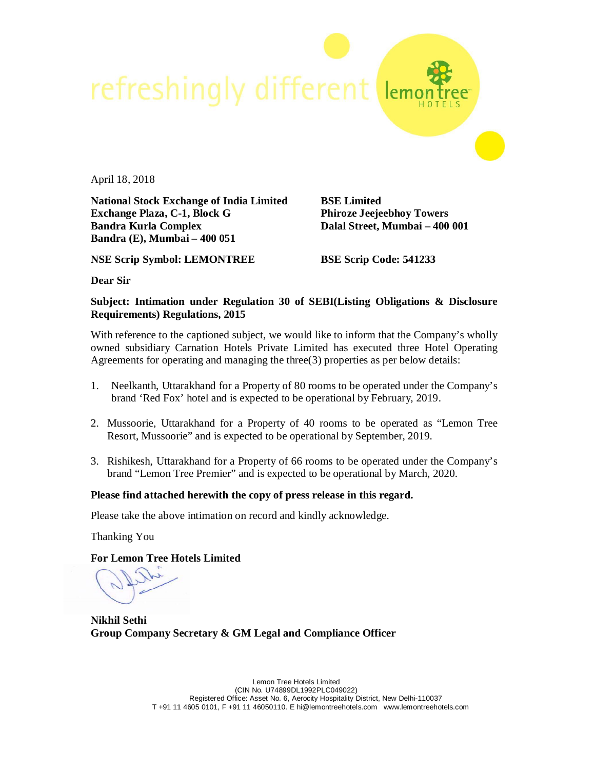refreshingly different ler

April 18, 2018

**National Stock Exchange of India Limited BSE Limited Exchange Plaza, C-1, Block G Phiroze Jeejeebhoy Towers Bandra Kurla Complex Dalal Street, Mumbai – 400 001 Bandra (E), Mumbai – 400 051**

**NSE Scrip Symbol: LEMONTREE BSE Scrip Code: 541233**

**Dear Sir**

## **Subject: Intimation under Regulation 30 of SEBI(Listing Obligations & Disclosure Requirements) Regulations, 2015**

With reference to the captioned subject, we would like to inform that the Company's wholly owned subsidiary Carnation Hotels Private Limited has executed three Hotel Operating Agreements for operating and managing the three(3) properties as per below details:

- 1. Neelkanth, Uttarakhand for a Property of 80 rooms to be operated under the Company's brand 'Red Fox' hotel and is expected to be operational by February, 2019.
- 2. Mussoorie, Uttarakhand for a Property of 40 rooms to be operated as "Lemon Tree Resort, Mussoorie" and is expected to be operational by September, 2019.
- 3. Rishikesh, Uttarakhand for a Property of 66 rooms to be operated under the Company's brand "Lemon Tree Premier" and is expected to be operational by March, 2020.

## **Please find attached herewith the copy of press release in this regard.**

Please take the above intimation on record and kindly acknowledge.

Thanking You

**For Lemon Tree Hotels Limited**

**Nikhil Sethi Group Company Secretary & GM Legal and Compliance Officer**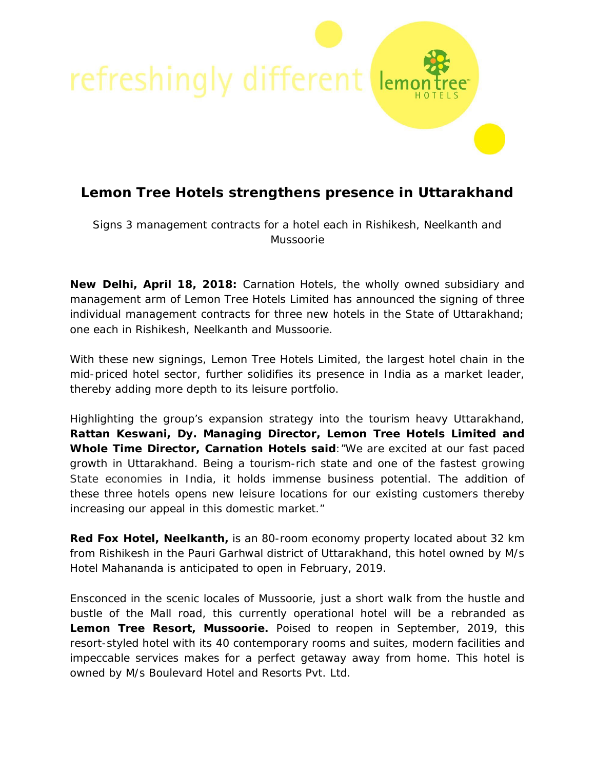

# **Lemon Tree Hotels strengthens presence in Uttarakhand**

*Signs 3 management contracts for a hotel each in Rishikesh, Neelkanth and Mussoorie*

**New Delhi, April 18, 2018:** Carnation Hotels, the wholly owned subsidiary and management arm of Lemon Tree Hotels Limited has announced the signing of three individual management contracts for three new hotels in the State of Uttarakhand; one each in Rishikesh, Neelkanth and Mussoorie.

With these new signings, Lemon Tree Hotels Limited, the largest hotel chain in the mid-priced hotel sector, further solidifies its presence in India as a market leader, thereby adding more depth to its leisure portfolio.

Highlighting the group's expansion strategy into the tourism heavy Uttarakhand, **Rattan Keswani, Dy. Managing Director, Lemon Tree Hotels Limited and Whole Time Director, Carnation Hotels said**:"*We are excited at our fast paced growth in Uttarakhand. Being a tourism-rich state and one of the fastest growing State economies in India, it holds immense business potential. The addition of these three hotels opens new leisure locations for our existing customers thereby increasing our appeal in this domestic market*."

**Red Fox Hotel, Neelkanth,** is an 80-room economy property located about 32 km from Rishikesh in the Pauri Garhwal district of Uttarakhand, this hotel owned by M/s Hotel Mahananda is anticipated to open in February, 2019.

Ensconced in the scenic locales of Mussoorie, just a short walk from the hustle and bustle of the Mall road, this currently operational hotel will be a rebranded as **Lemon Tree Resort, Mussoorie.** Poised to reopen in September, 2019, this resort-styled hotel with its 40 contemporary rooms and suites, modern facilities and impeccable services makes for a perfect getaway away from home. This hotel is owned by M/s Boulevard Hotel and Resorts Pvt. Ltd.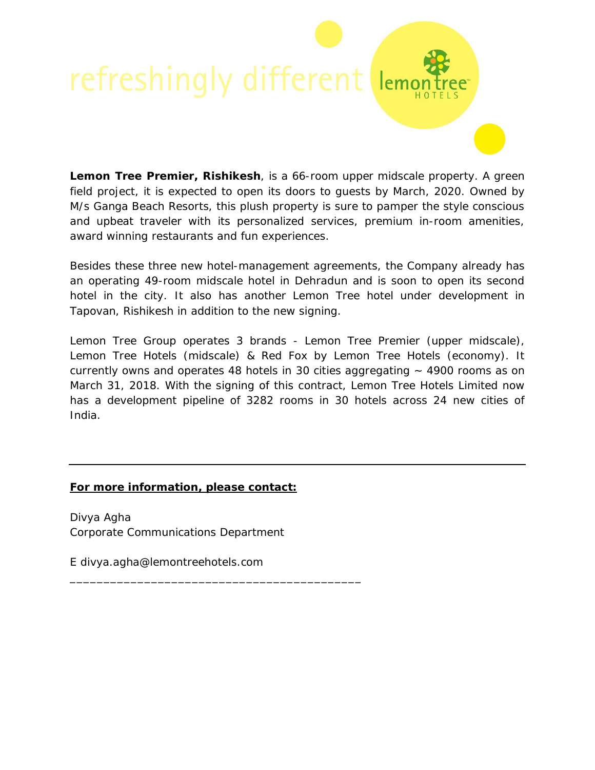# refreshingly different lemo

**Lemon Tree Premier, Rishikesh**, is a 66-room upper midscale property. A green field project, it is expected to open its doors to guests by March, 2020. Owned by M/s Ganga Beach Resorts, this plush property is sure to pamper the style conscious and upbeat traveler with its personalized services, premium in-room amenities, award winning restaurants and fun experiences.

Besides these three new hotel-management agreements, the Company already has an operating 49-room midscale hotel in Dehradun and is soon to open its second hotel in the city. It also has another Lemon Tree hotel under development in Tapovan, Rishikesh in addition to the new signing.

Lemon Tree Group operates 3 brands - Lemon Tree Premier (upper midscale), Lemon Tree Hotels (midscale) & Red Fox by Lemon Tree Hotels (economy). It currently owns and operates 48 hotels in 30 cities aggregating  $\sim$  4900 rooms as on March 31, 2018. With the signing of this contract, Lemon Tree Hotels Limited now has a development pipeline of 3282 rooms in 30 hotels across 24 new cities of India.

## *For more information, please contact:*

Divya Agha Corporate Communications Department

\_\_\_\_\_\_\_\_\_\_\_\_\_\_\_\_\_\_\_\_\_\_\_\_\_\_\_\_\_\_\_\_\_\_\_\_\_\_\_\_\_\_\_

*E divya.agha@lemontreehotels.com*